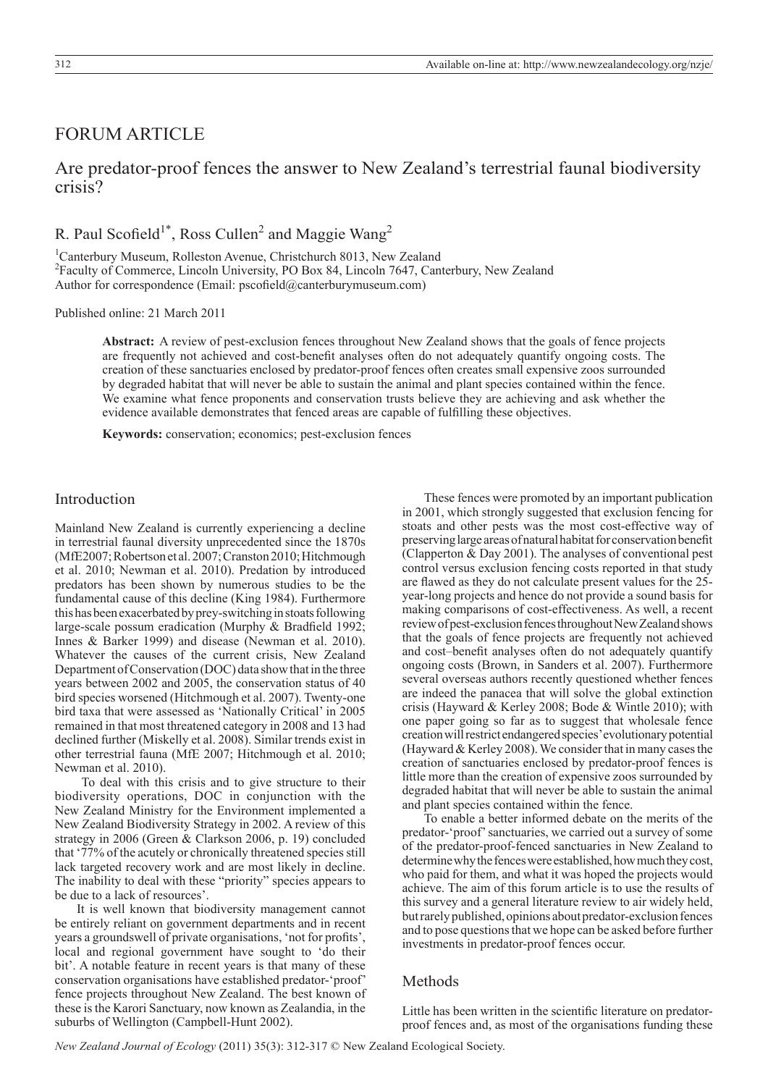# FORUM ARTICLE

# Are predator-proof fences the answer to New Zealand's terrestrial faunal biodiversity crisis?

R. Paul Scofield<sup>1\*</sup>, Ross Cullen<sup>2</sup> and Maggie Wang<sup>2</sup>

<sup>1</sup>Canterbury Museum, Rolleston Avenue, Christchurch 8013, New Zealand 2 Faculty of Commerce, Lincoln University, PO Box 84, Lincoln 7647, Canterbury, New Zealand Author for correspondence (Email: pscofield@canterburymuseum.com)

Published online: 21 March 2011

**Abstract:** A review of pest-exclusion fences throughout New Zealand shows that the goals of fence projects are frequently not achieved and cost-benefit analyses often do not adequately quantify ongoing costs. The creation of these sanctuaries enclosed by predator-proof fences often creates small expensive zoos surrounded by degraded habitat that will never be able to sustain the animal and plant species contained within the fence. We examine what fence proponents and conservation trusts believe they are achieving and ask whether the evidence available demonstrates that fenced areas are capable of fulfilling these objectives.

**Keywords:** conservation; economics; pest-exclusion fences

## Introduction

Mainland New Zealand is currently experiencing a decline in terrestrial faunal diversity unprecedented since the 1870s (MfE2007; Robertson et al. 2007; Cranston 2010; Hitchmough et al. 2010; Newman et al. 2010). Predation by introduced predators has been shown by numerous studies to be the fundamental cause of this decline (King 1984). Furthermore this has been exacerbated by prey-switching in stoats following large-scale possum eradication (Murphy & Bradfield 1992; Innes & Barker 1999) and disease (Newman et al. 2010). Whatever the causes of the current crisis, New Zealand Department of Conservation (DOC) data show that in the three years between 2002 and 2005, the conservation status of 40 bird species worsened (Hitchmough et al. 2007). Twenty-one bird taxa that were assessed as 'Nationally Critical' in 2005 remained in that most threatened category in 2008 and 13 had declined further (Miskelly et al. 2008). Similar trends exist in other terrestrial fauna (MfE 2007; Hitchmough et al. 2010; Newman et al. 2010).

 To deal with this crisis and to give structure to their biodiversity operations, DOC in conjunction with the New Zealand Ministry for the Environment implemented a New Zealand Biodiversity Strategy in 2002. A review of this strategy in 2006 (Green & Clarkson 2006, p. 19) concluded that '77% of the acutely or chronically threatened species still lack targeted recovery work and are most likely in decline. The inability to deal with these "priority" species appears to be due to a lack of resources'.

It is well known that biodiversity management cannot be entirely reliant on government departments and in recent years a groundswell of private organisations, 'not for profits', local and regional government have sought to 'do their bit'. A notable feature in recent years is that many of these conservation organisations have established predator-'proof' fence projects throughout New Zealand. The best known of these is the Karori Sanctuary, now known as Zealandia, in the suburbs of Wellington (Campbell-Hunt 2002).

These fences were promoted by an important publication in 2001, which strongly suggested that exclusion fencing for stoats and other pests was the most cost-effective way of preserving large areas of natural habitat for conservation benefit (Clapperton & Day 2001). The analyses of conventional pest control versus exclusion fencing costs reported in that study are flawed as they do not calculate present values for the 25 year-long projects and hence do not provide a sound basis for making comparisons of cost-effectiveness. As well, a recent review of pest-exclusion fences throughout NewZealand shows that the goals of fence projects are frequently not achieved and cost–benefit analyses often do not adequately quantify ongoing costs (Brown, in Sanders et al. 2007). Furthermore several overseas authors recently questioned whether fences are indeed the panacea that will solve the global extinction crisis (Hayward & Kerley 2008; Bode & Wintle 2010); with one paper going so far as to suggest that wholesale fence creation will restrict endangered species' evolutionary potential (Hayward & Kerley 2008). We consider that in many cases the creation of sanctuaries enclosed by predator-proof fences is little more than the creation of expensive zoos surrounded by degraded habitat that will never be able to sustain the animal and plant species contained within the fence.

To enable a better informed debate on the merits of the predator-'proof' sanctuaries, we carried out a survey of some of the predator-proof-fenced sanctuaries in New Zealand to determine why the fences were established, how much they cost, who paid for them, and what it was hoped the projects would achieve. The aim of this forum article is to use the results of this survey and a general literature review to air widely held, but rarely published, opinions about predator-exclusion fences and to pose questions that we hope can be asked before further investments in predator-proof fences occur.

## Methods

Little has been written in the scientific literature on predatorproof fences and, as most of the organisations funding these

*New Zealand Journal of Ecology* (2011) 35(3): 312-317 © New Zealand Ecological Society.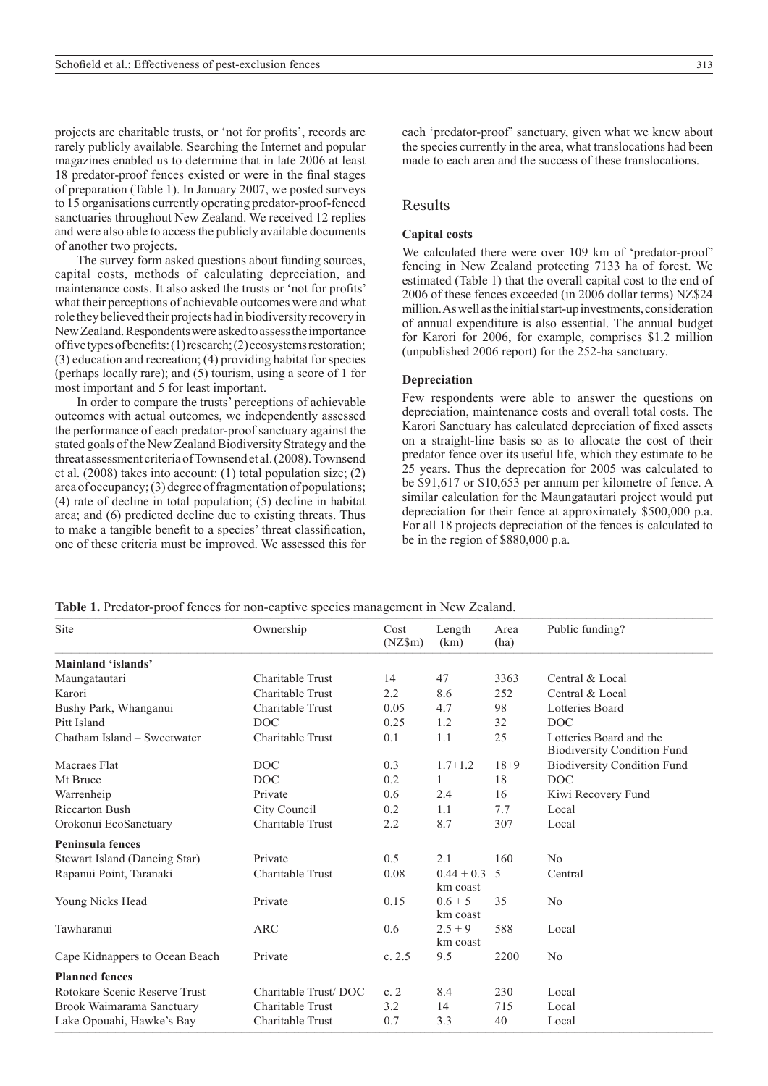projects are charitable trusts, or 'not for profits', records are rarely publicly available. Searching the Internet and popular magazines enabled us to determine that in late 2006 at least 18 predator-proof fences existed or were in the final stages of preparation (Table 1). In January 2007, we posted surveys to 15 organisations currently operating predator-proof-fenced sanctuaries throughout New Zealand. We received 12 replies and were also able to access the publicly available documents of another two projects.

The survey form asked questions about funding sources, capital costs, methods of calculating depreciation, and maintenance costs. It also asked the trusts or 'not for profits' what their perceptions of achievable outcomes were and what role they believed their projects had in biodiversity recovery in NewZealand. Respondents were asked to assess the importance of five types of benefits: (1) research; (2) ecosystems restoration; (3) education and recreation; (4) providing habitat for species (perhaps locally rare); and (5) tourism, using a score of 1 for most important and 5 for least important.

In order to compare the trusts' perceptions of achievable outcomes with actual outcomes, we independently assessed the performance of each predator-proof sanctuary against the stated goals of the New Zealand Biodiversity Strategy and the threat assessment criteria of Townsend et al. (2008). Townsend et al. (2008) takes into account: (1) total population size; (2) area of occupancy; (3) degree of fragmentation of populations; (4) rate of decline in total population; (5) decline in habitat area; and (6) predicted decline due to existing threats. Thus to make a tangible benefit to a species' threat classification, one of these criteria must be improved. We assessed this for each 'predator-proof' sanctuary, given what we knew about the species currently in the area, what translocations had been made to each area and the success of these translocations.

### Results

### **Capital costs**

We calculated there were over 109 km of 'predator-proof' fencing in New Zealand protecting 7133 ha of forest. We estimated (Table 1) that the overall capital cost to the end of 2006 of these fences exceeded (in 2006 dollar terms) NZ\$24 million. As well as the initial start-up investments, consideration of annual expenditure is also essential. The annual budget for Karori for 2006, for example, comprises \$1.2 million (unpublished 2006 report) for the 252-ha sanctuary.

#### **Depreciation**

Few respondents were able to answer the questions on depreciation, maintenance costs and overall total costs. The Karori Sanctuary has calculated depreciation of fixed assets on a straight-line basis so as to allocate the cost of their predator fence over its useful life, which they estimate to be 25 years. Thus the deprecation for 2005 was calculated to be \$91,617 or \$10,653 per annum per kilometre of fence. A similar calculation for the Maungatautari project would put depreciation for their fence at approximately \$500,000 p.a. For all 18 projects depreciation of the fences is calculated to be in the region of \$880,000 p.a.

**Table 1.** Predator-proof fences for non-captive species management in New Zealand.

| Site                           | Ownership            | Cost<br>$(NZ\$ m $)$ | Length<br>(km)           | Area<br>(ha) | Public funding?                                               |  |
|--------------------------------|----------------------|----------------------|--------------------------|--------------|---------------------------------------------------------------|--|
| Mainland 'islands'             |                      |                      |                          |              |                                                               |  |
| Maungatautari                  | Charitable Trust     | 14                   | 47                       | 3363         | Central & Local                                               |  |
| Karori                         | Charitable Trust     | 2.2                  | 8.6                      | 252          | Central & Local                                               |  |
| Bushy Park, Whanganui          | Charitable Trust     | 0.05                 | 4.7                      | 98           | Lotteries Board                                               |  |
| Pitt Island                    | DOC.                 | 0.25                 | 1.2                      | 32           | DOC                                                           |  |
| Chatham Island – Sweetwater    | Charitable Trust     | 0.1                  | 1.1                      | 25           | Lotteries Board and the<br><b>Biodiversity Condition Fund</b> |  |
| Macraes Flat                   | DOC                  | 0.3                  | $1.7 + 1.2$              | $18 + 9$     | <b>Biodiversity Condition Fund</b>                            |  |
| Mt Bruce                       | DOC                  | 0.2                  | 1                        | 18           | <b>DOC</b>                                                    |  |
| Warrenheip                     | Private              | 0.6                  | 2.4                      | 16           | Kiwi Recovery Fund                                            |  |
| <b>Riccarton Bush</b>          | City Council         | 0.2                  | 1.1                      | 7.7          | Local                                                         |  |
| Orokonui EcoSanctuary          | Charitable Trust     | 2.2                  | 8.7                      | 307          | Local                                                         |  |
| <b>Peninsula fences</b>        |                      |                      |                          |              |                                                               |  |
| Stewart Island (Dancing Star)  | Private              | 0.5                  | 2.1                      | 160          | No                                                            |  |
| Rapanui Point, Taranaki        | Charitable Trust     | 0.08                 | $0.44 + 0.3$<br>km coast | 5            | Central                                                       |  |
| Young Nicks Head               | Private              | 0.15                 | $0.6 + 5$<br>km coast    | 35           | No                                                            |  |
| Tawharanui                     | ARC                  | 0.6                  | $2.5 + 9$<br>km coast    | 588          | Local                                                         |  |
| Cape Kidnappers to Ocean Beach | Private              | c. 2.5               | 9.5                      | 2200         | No                                                            |  |
| <b>Planned fences</b>          |                      |                      |                          |              |                                                               |  |
| Rotokare Scenic Reserve Trust  | Charitable Trust/DOC | c.2                  | 8.4                      | 230          | Local                                                         |  |
| Brook Waimarama Sanctuary      | Charitable Trust     | 3.2                  | 14                       | 715          | Local                                                         |  |
| Lake Opouahi, Hawke's Bay      | Charitable Trust     | 0.7                  | 3.3                      | 40           | Local                                                         |  |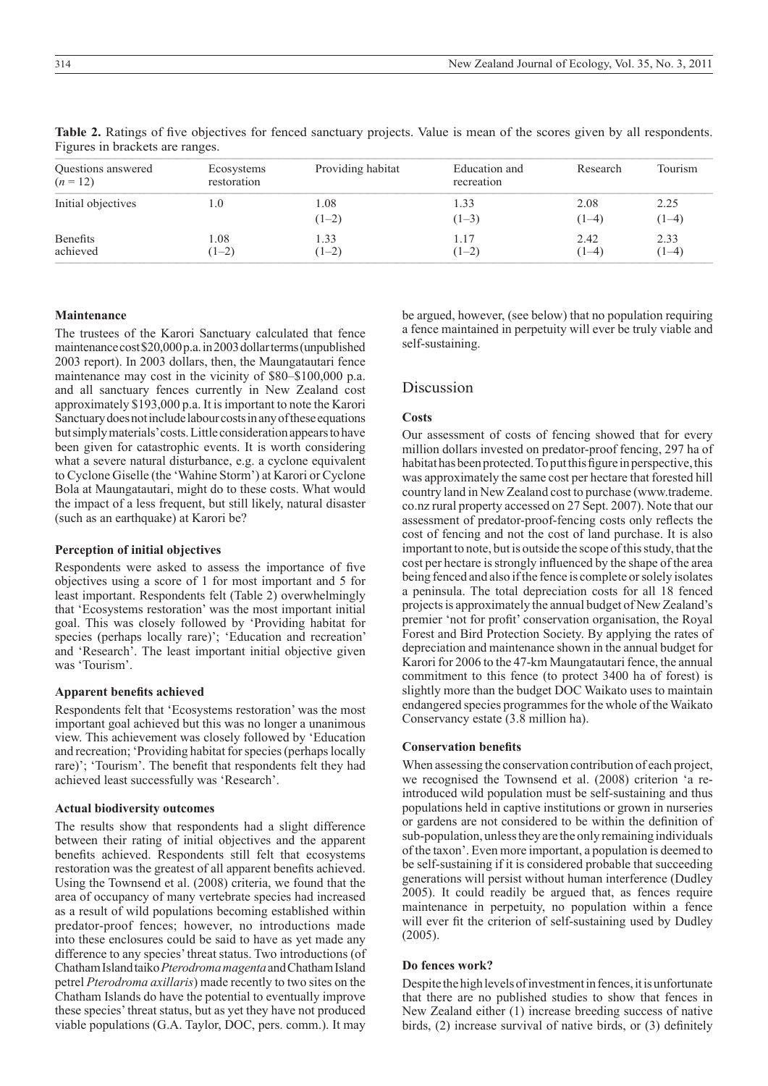| Questions answered<br>$(n=12)$ | Ecosystems<br>restoration | Providing habitat | Education and<br>recreation | Research        | Tourism         |
|--------------------------------|---------------------------|-------------------|-----------------------------|-----------------|-----------------|
| Initial objectives             | L.O                       | 1.08<br>$(1-2)$   | 1.33<br>$(1-3)$             | 2.08<br>$(1-4)$ | 2.25<br>$(1-4)$ |
| <b>Benefits</b><br>achieved    | L.08<br>$(1-2)$           | 1.33<br>$(1-2)$   | 1.17<br>$(1-2)$             | 2.42<br>$(1-4)$ | 2.33<br>$(1-4)$ |

**Table 2.** Ratings of five objectives for fenced sanctuary projects. Value is mean of the scores given by all respondents. Figures in brackets are ranges.  $\mathcal{L}$  , and the state in greater  $\mathcal{L}$ 

## **Maintenance**

The trustees of the Karori Sanctuary calculated that fence maintenance cost \$20,000 p.a. in 2003 dollar terms (unpublished 2003 report). In 2003 dollars, then, the Maungatautari fence maintenance may cost in the vicinity of \$80–\$100,000 p.a. and all sanctuary fences currently in New Zealand cost approximately \$193,000 p.a. It is important to note the Karori Sanctuary does not include labour costs in any of these equations but simply materials' costs. Little consideration appears to have been given for catastrophic events. It is worth considering what a severe natural disturbance, e.g. a cyclone equivalent to Cyclone Giselle (the 'Wahine Storm') at Karori or Cyclone Bola at Maungatautari, might do to these costs. What would the impact of a less frequent, but still likely, natural disaster (such as an earthquake) at Karori be?

## **Perception of initial objectives**

Respondents were asked to assess the importance of five objectives using a score of 1 for most important and 5 for least important. Respondents felt (Table 2) overwhelmingly that 'Ecosystems restoration' was the most important initial goal. This was closely followed by 'Providing habitat for species (perhaps locally rare)'; 'Education and recreation' and 'Research'. The least important initial objective given was 'Tourism'.

### **Apparent benefits achieved**

Respondents felt that 'Ecosystems restoration' was the most important goal achieved but this was no longer a unanimous view. This achievement was closely followed by 'Education and recreation; 'Providing habitat for species (perhaps locally rare)'; 'Tourism'. The benefit that respondents felt they had achieved least successfully was 'Research'.

### **Actual biodiversity outcomes**

The results show that respondents had a slight difference between their rating of initial objectives and the apparent benefits achieved. Respondents still felt that ecosystems restoration was the greatest of all apparent benefits achieved. Using the Townsend et al. (2008) criteria, we found that the area of occupancy of many vertebrate species had increased as a result of wild populations becoming established within predator-proof fences; however, no introductions made into these enclosures could be said to have as yet made any difference to any species' threat status. Two introductions (of Chatham Island taiko *Pterodroma magenta* and Chatham Island petrel *Pterodroma axillaris*) made recently to two sites on the Chatham Islands do have the potential to eventually improve these species' threat status, but as yet they have not produced viable populations (G.A. Taylor, DOC, pers. comm.). It may

be argued, however, (see below) that no population requiring a fence maintained in perpetuity will ever be truly viable and self-sustaining.

# Discussion

## **Costs**

Our assessment of costs of fencing showed that for every million dollars invested on predator-proof fencing, 297 ha of habitat has been protected. To put this figure in perspective, this was approximately the same cost per hectare that forested hill country land in New Zealand cost to purchase (www.trademe. co.nz rural property accessed on 27 Sept. 2007). Note that our assessment of predator-proof-fencing costs only reflects the cost of fencing and not the cost of land purchase. It is also important to note, but is outside the scope of this study, that the cost per hectare is strongly influenced by the shape of the area being fenced and also if the fence is complete or solely isolates a peninsula. The total depreciation costs for all 18 fenced projects is approximately the annual budget of New Zealand's premier 'not for profit' conservation organisation, the Royal Forest and Bird Protection Society. By applying the rates of depreciation and maintenance shown in the annual budget for Karori for 2006 to the 47-km Maungatautari fence, the annual commitment to this fence (to protect 3400 ha of forest) is slightly more than the budget DOC Waikato uses to maintain endangered species programmes for the whole of the Waikato Conservancy estate (3.8 million ha).

### **Conservation benefits**

When assessing the conservation contribution of each project, we recognised the Townsend et al. (2008) criterion 'a reintroduced wild population must be self-sustaining and thus populations held in captive institutions or grown in nurseries or gardens are not considered to be within the definition of sub-population, unless they are the only remaining individuals of the taxon'. Even more important, a population is deemed to be self-sustaining if it is considered probable that succeeding generations will persist without human interference (Dudley 2005). It could readily be argued that, as fences require maintenance in perpetuity, no population within a fence will ever fit the criterion of self-sustaining used by Dudley (2005).

## **Do fences work?**

Despite the high levels of investment in fences, it is unfortunate that there are no published studies to show that fences in New Zealand either (1) increase breeding success of native birds, (2) increase survival of native birds, or (3) definitely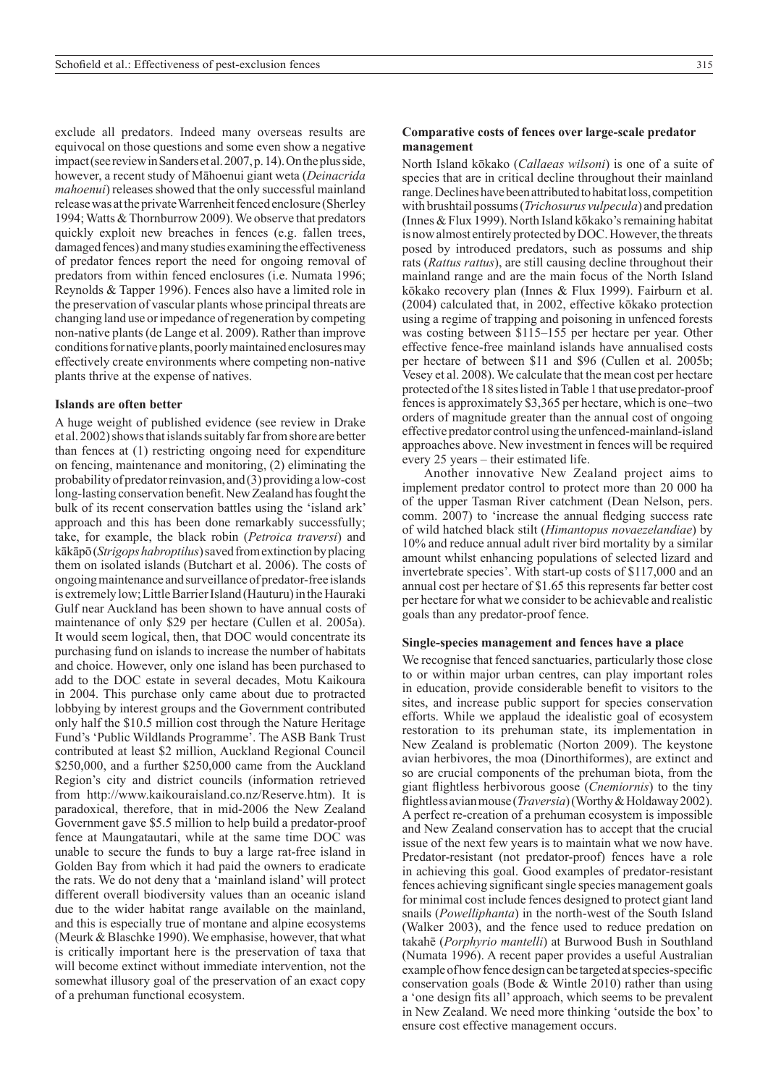exclude all predators. Indeed many overseas results are equivocal on those questions and some even show a negative impact (see review in Sanders etal. 2007, p. 14). On the plus side, however, a recent study of Māhoenui giant weta (*Deinacrida mahoenui*) releases showed that the only successful mainland release was at the private Warrenheit fenced enclosure (Sherley 1994; Watts & Thornburrow 2009). We observe that predators quickly exploit new breaches in fences (e.g. fallen trees, damaged fences) and many studies examining the effectiveness of predator fences report the need for ongoing removal of predators from within fenced enclosures (i.e. Numata 1996; Reynolds & Tapper 1996). Fences also have a limited role in the preservation of vascular plants whose principal threats are changing land use or impedance of regeneration by competing non-native plants (de Lange et al. 2009). Rather than improve conditions for native plants, poorly maintained enclosures may effectively create environments where competing non-native plants thrive at the expense of natives.

#### **Islands are often better**

A huge weight of published evidence (see review in Drake et al. 2002) shows that islands suitably far from shore are better than fences at (1) restricting ongoing need for expenditure on fencing, maintenance and monitoring, (2) eliminating the probability of predator reinvasion, and (3) providing a low-cost long-lasting conservation benefit. NewZealand has fought the bulk of its recent conservation battles using the 'island ark' approach and this has been done remarkably successfully; take, for example, the black robin (*Petroica traversi*) and kākāpō (*Strigops habroptilus*) saved from extinction by placing them on isolated islands (Butchart et al. 2006). The costs of ongoing maintenance and surveillance of predator-free islands is extremely low; Little Barrier Island (Hauturu) in the Hauraki Gulf near Auckland has been shown to have annual costs of maintenance of only \$29 per hectare (Cullen et al. 2005a). It would seem logical, then, that DOC would concentrate its purchasing fund on islands to increase the number of habitats and choice. However, only one island has been purchased to add to the DOC estate in several decades, Motu Kaikoura in 2004. This purchase only came about due to protracted lobbying by interest groups and the Government contributed only half the \$10.5 million cost through the Nature Heritage Fund's 'Public Wildlands Programme'. The ASB Bank Trust contributed at least \$2 million, Auckland Regional Council \$250,000, and a further \$250,000 came from the Auckland Region's city and district councils (information retrieved from http://www.kaikouraisland.co.nz/Reserve.htm). It is paradoxical, therefore, that in mid-2006 the New Zealand Government gave \$5.5 million to help build a predator-proof fence at Maungatautari, while at the same time DOC was unable to secure the funds to buy a large rat-free island in Golden Bay from which it had paid the owners to eradicate the rats. We do not deny that a 'mainland island' will protect different overall biodiversity values than an oceanic island due to the wider habitat range available on the mainland, and this is especially true of montane and alpine ecosystems (Meurk & Blaschke 1990). We emphasise, however, that what is critically important here is the preservation of taxa that will become extinct without immediate intervention, not the somewhat illusory goal of the preservation of an exact copy of a prehuman functional ecosystem.

### **Comparative costs of fences over large-scale predator management**

North Island kōkako (*Callaeas wilsoni*) is one of a suite of species that are in critical decline throughout their mainland range. Declines have been attributed to habitat loss, competition with brushtail possums (*Trichosurus vulpecula*) and predation (Innes  $&$  Flux 1999). North Island kōkako's remaining habitat is now almost entirely protected by DOC. However, the threats posed by introduced predators, such as possums and ship rats (*Rattus rattus*), are still causing decline throughout their mainland range and are the main focus of the North Island kōkako recovery plan (Innes & Flux 1999). Fairburn et al. (2004) calculated that, in 2002, effective kōkako protection using a regime of trapping and poisoning in unfenced forests was costing between \$115–155 per hectare per year. Other effective fence-free mainland islands have annualised costs per hectare of between \$11 and \$96 (Cullen et al. 2005b; Vesey et al. 2008). We calculate that the mean cost per hectare protected of the 18 sites listed in Table 1 that use predator-proof fences is approximately \$3,365 per hectare, which is one–two orders of magnitude greater than the annual cost of ongoing effective predator control using the unfenced-mainland-island approaches above. New investment in fences will be required every 25 years – their estimated life.

Another innovative New Zealand project aims to implement predator control to protect more than 20 000 ha of the upper Tasman River catchment (Dean Nelson, pers. comm. 2007) to 'increase the annual fledging success rate of wild hatched black stilt (*Himantopus novaezelandiae*) by 10% and reduce annual adult river bird mortality by a similar amount whilst enhancing populations of selected lizard and invertebrate species'. With start-up costs of \$117,000 and an annual cost per hectare of \$1.65 this represents far better cost per hectare for what we consider to be achievable and realistic goals than any predator-proof fence.

#### **Single-species management and fences have a place**

We recognise that fenced sanctuaries, particularly those close to or within major urban centres, can play important roles in education, provide considerable benefit to visitors to the sites, and increase public support for species conservation efforts. While we applaud the idealistic goal of ecosystem restoration to its prehuman state, its implementation in New Zealand is problematic (Norton 2009). The keystone avian herbivores, the moa (Dinorthiformes), are extinct and so are crucial components of the prehuman biota, from the giant flightless herbivorous goose (*Cnemiornis*) to the tiny flightless avian mouse (*Traversia*) (Worthy & Holdaway 2002). A perfect re-creation of a prehuman ecosystem is impossible and New Zealand conservation has to accept that the crucial issue of the next few years is to maintain what we now have. Predator-resistant (not predator-proof) fences have a role in achieving this goal. Good examples of predator-resistant fences achieving significant single species management goals for minimal cost include fences designed to protect giant land snails (*Powelliphanta*) in the north-west of the South Island (Walker 2003), and the fence used to reduce predation on takahē (*Porphyrio mantelli*) at Burwood Bush in Southland (Numata 1996). A recent paper provides a useful Australian example of how fence design can be targeted at species-specific conservation goals (Bode & Wintle 2010) rather than using a 'one design fits all' approach, which seems to be prevalent in New Zealand. We need more thinking 'outside the box' to ensure cost effective management occurs.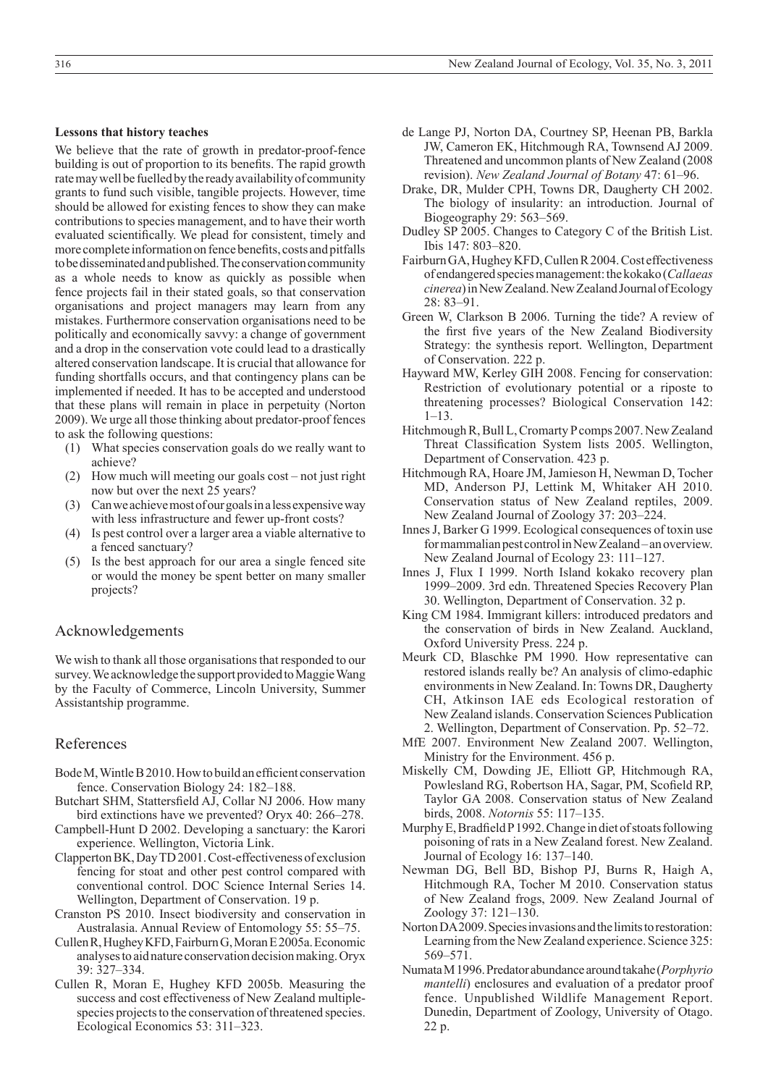We believe that the rate of growth in predator-proof-fence building is out of proportion to its benefits. The rapid growth rate may well be fuelled by the ready availability of community grants to fund such visible, tangible projects. However, time should be allowed for existing fences to show they can make contributions to species management, and to have their worth evaluated scientifically. We plead for consistent, timely and more complete information on fence benefits, costs and pitfalls to be disseminated and published. The conservation community as a whole needs to know as quickly as possible when fence projects fail in their stated goals, so that conservation organisations and project managers may learn from any mistakes. Furthermore conservation organisations need to be politically and economically savvy: a change of government and a drop in the conservation vote could lead to a drastically altered conservation landscape. It is crucial that allowance for funding shortfalls occurs, and that contingency plans can be implemented if needed. It has to be accepted and understood that these plans will remain in place in perpetuity (Norton 2009). We urge all those thinking about predator-proof fences to ask the following questions:

- (1) What species conservation goals do we really want to achieve?
- (2) How much will meeting our goals cost not just right now but over the next 25 years?
- (3) Can we achieve most of our goals in a less expensive way with less infrastructure and fewer up-front costs?
- (4) Is pest control over a larger area a viable alternative to a fenced sanctuary?
- (5) Is the best approach for our area a single fenced site or would the money be spent better on many smaller projects?

## Acknowledgements

We wish to thank all those organisations that responded to our survey. We acknowledge the support provided to Maggie Wang by the Faculty of Commerce, Lincoln University, Summer Assistantship programme.

## References

- Bode M, Wintle B 2010. How to build an efficient conservation fence. Conservation Biology 24: 182–188.
- Butchart SHM, Stattersfield AJ, Collar NJ 2006. How many bird extinctions have we prevented? Oryx 40: 266–278.
- Campbell-Hunt D 2002. Developing a sanctuary: the Karori experience. Wellington, Victoria Link.
- Clapperton BK, Day TD 2001. Cost-effectiveness of exclusion fencing for stoat and other pest control compared with conventional control. DOC Science Internal Series 14. Wellington, Department of Conservation. 19 p.
- Cranston PS 2010. Insect biodiversity and conservation in Australasia. Annual Review of Entomology 55: 55–75.
- Cullen R, Hughey KFD, Fairburn G, Moran E 2005a. Economic analyses to aid nature conservation decision making. Oryx 39: 327–334.
- Cullen R, Moran E, Hughey KFD 2005b. Measuring the success and cost effectiveness of New Zealand multiplespecies projects to the conservation of threatened species. Ecological Economics 53: 311–323.
- de Lange PJ, Norton DA, Courtney SP, Heenan PB, Barkla JW, Cameron EK, Hitchmough RA, Townsend AJ 2009. Threatened and uncommon plants of New Zealand (2008 revision). *New Zealand Journal of Botany* 47: 61–96.
- Drake, DR, Mulder CPH, Towns DR, Daugherty CH 2002. The biology of insularity: an introduction. Journal of Biogeography 29: 563–569.
- Dudley SP 2005. Changes to Category C of the British List. Ibis 147: 803–820.
- Fairburn GA, Hughey KFD, Cullen R 2004. Cost effectiveness of endangered species management: the kokako (*Callaeas cinerea*) in New Zealand. NewZealand Journal of Ecology 28: 83–91.
- Green W, Clarkson B 2006. Turning the tide? A review of the first five years of the New Zealand Biodiversity Strategy: the synthesis report. Wellington, Department of Conservation. 222 p.
- Hayward MW, Kerley GIH 2008. Fencing for conservation: Restriction of evolutionary potential or a riposte to threatening processes? Biological Conservation 142:  $1 - 13$
- Hitchmough R, Bull L, Cromarty P comps 2007. New Zealand Threat Classification System lists 2005. Wellington, Department of Conservation. 423 p.
- Hitchmough RA, Hoare JM, Jamieson H, Newman D, Tocher MD, Anderson PJ, Lettink M, Whitaker AH 2010. Conservation status of New Zealand reptiles, 2009. New Zealand Journal of Zoology 37: 203–224.
- Innes J, Barker G 1999. Ecological consequences of toxin use for mammalian pest control in NewZealand – an overview. New Zealand Journal of Ecology 23: 111–127.
- Innes J, Flux I 1999. North Island kokako recovery plan 1999–2009. 3rd edn. Threatened Species Recovery Plan 30. Wellington, Department of Conservation. 32 p.
- King CM 1984. Immigrant killers: introduced predators and the conservation of birds in New Zealand. Auckland, Oxford University Press. 224 p.
- Meurk CD, Blaschke PM 1990. How representative can restored islands really be? An analysis of climo-edaphic environments in New Zealand. In: Towns DR, Daugherty CH, Atkinson IAE eds Ecological restoration of New Zealand islands. Conservation Sciences Publication 2. Wellington, Department of Conservation. Pp. 52–72.
- MfE 2007. Environment New Zealand 2007. Wellington, Ministry for the Environment. 456 p.
- Miskelly CM, Dowding JE, Elliott GP, Hitchmough RA, Powlesland RG, Robertson HA, Sagar, PM, Scofield RP, Taylor GA 2008. Conservation status of New Zealand birds, 2008. *Notornis* 55: 117–135.
- Murphy E, Bradfield P 1992. Change in diet of stoats following poisoning of rats in a New Zealand forest. New Zealand. Journal of Ecology 16: 137–140.
- Newman DG, Bell BD, Bishop PJ, Burns R, Haigh A, Hitchmough RA, Tocher M 2010. Conservation status of New Zealand frogs, 2009. New Zealand Journal of Zoology 37: 121–130.
- Norton DA 2009. Species invasions and the limits to restoration: Learning from the New Zealand experience. Science 325: 569–571.
- Numata M 1996. Predator abundance around takahe (*Porphyrio mantelli*) enclosures and evaluation of a predator proof fence. Unpublished Wildlife Management Report. Dunedin, Department of Zoology, University of Otago. 22 p.